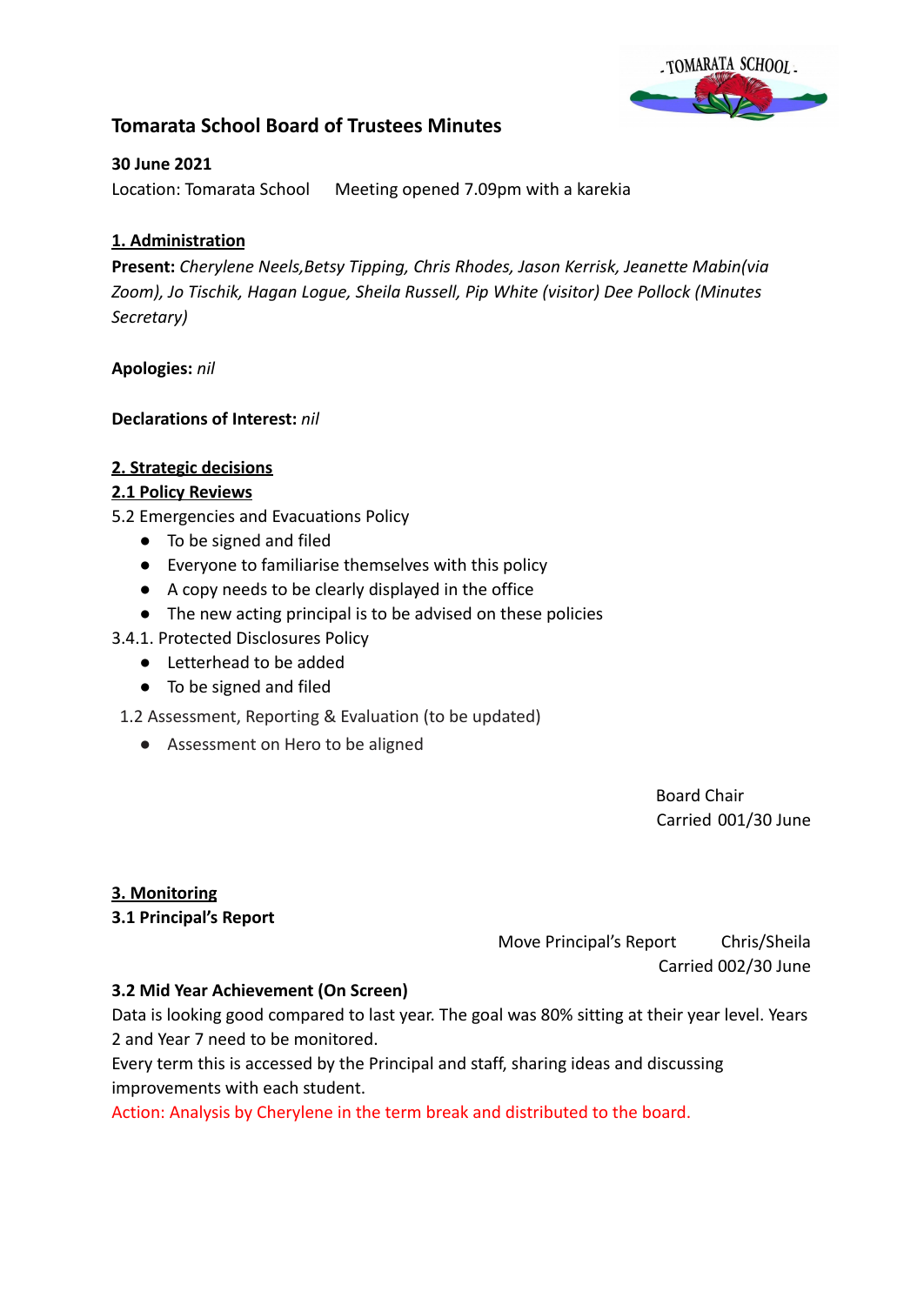

# **Tomarata School Board of Trustees Minutes**

## **30 June 2021**

Location: Tomarata School Meeting opened 7.09pm with a karekia

# **1. Administration**

**Present:** *Cherylene Neels,Betsy Tipping, Chris Rhodes, Jason Kerrisk, Jeanette Mabin(via Zoom), Jo Tischik, Hagan Logue, Sheila Russell, Pip White (visitor) Dee Pollock (Minutes Secretary)*

### **Apologies:** *nil*

### **Declarations of Interest:** *nil*

### **2. Strategic decisions**

# **2.1 Policy Reviews**

5.2 Emergencies and Evacuations Policy

- To be signed and filed
- Everyone to familiarise themselves with this policy
- A copy needs to be clearly displayed in the office
- The new acting principal is to be advised on these policies

### 3.4.1. Protected Disclosures Policy

- Letterhead to be added
- To be signed and filed

1.2 Assessment, Reporting & Evaluation (to be updated)

● Assessment on Hero to be aligned

Board Chair Carried 001/30 June

### **3. Monitoring**

### **3.1 Principal's Report**

Move Principal's Report Chris/Sheila Carried 002/30 June

### **3.2 Mid Year Achievement (On Screen)**

Data is looking good compared to last year. The goal was 80% sitting at their year level. Years 2 and Year 7 need to be monitored.

Every term this is accessed by the Principal and staff, sharing ideas and discussing improvements with each student.

Action: Analysis by Cherylene in the term break and distributed to the board.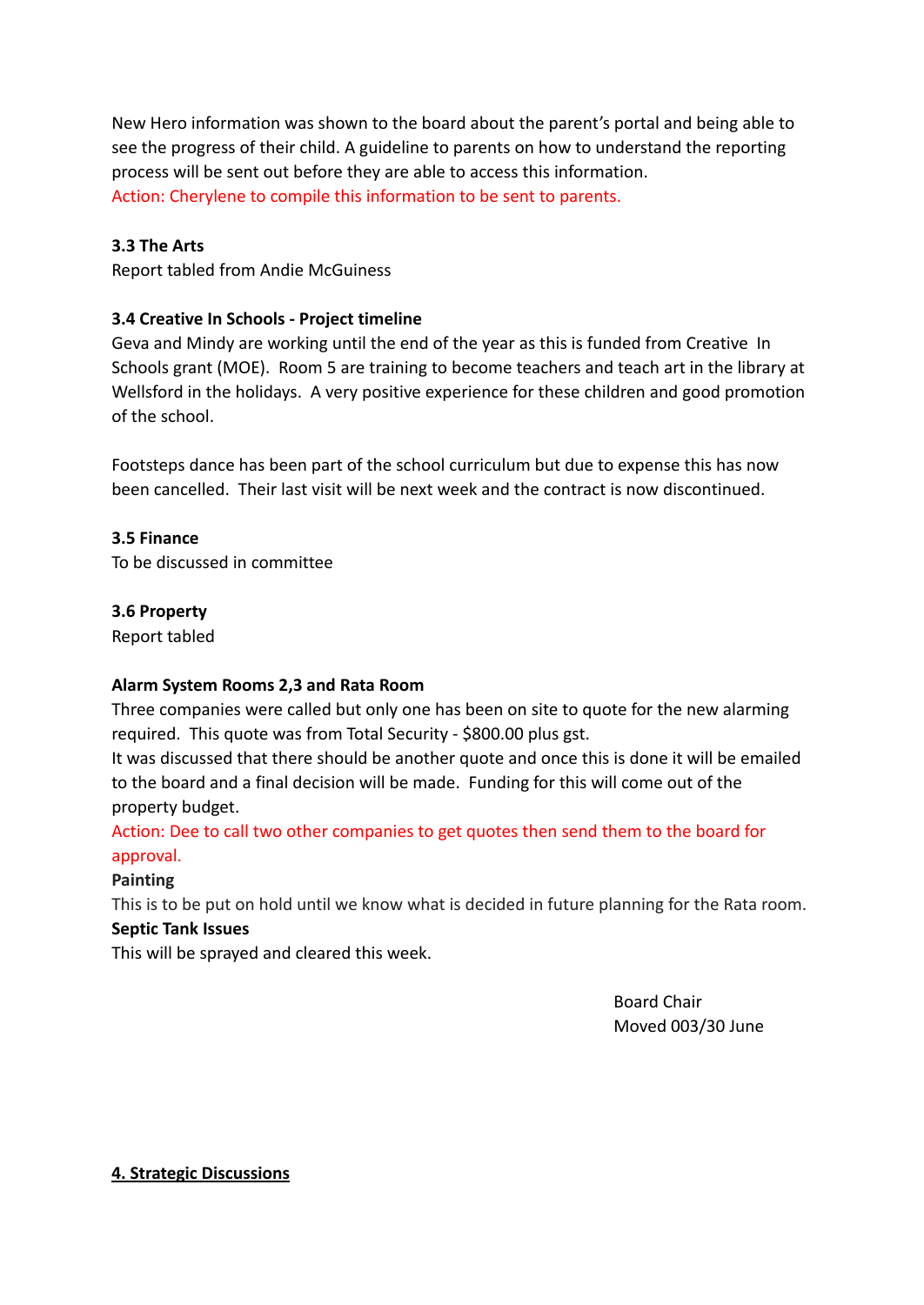New Hero information was shown to the board about the parent's portal and being able to see the progress of their child. A guideline to parents on how to understand the reporting process will be sent out before they are able to access this information. Action: Cherylene to compile this information to be sent to parents.

# **3.3 The Arts**

Report tabled from Andie McGuiness

# **3.4 Creative In Schools - Project timeline**

Geva and Mindy are working until the end of the year as this is funded from Creative In Schools grant (MOE). Room 5 are training to become teachers and teach art in the library at Wellsford in the holidays. A very positive experience for these children and good promotion of the school.

Footsteps dance has been part of the school curriculum but due to expense this has now been cancelled. Their last visit will be next week and the contract is now discontinued.

### **3.5 Finance**

To be discussed in committee

### **3.6 Property**

Report tabled

# **Alarm System Rooms 2,3 and Rata Room**

Three companies were called but only one has been on site to quote for the new alarming required. This quote was from Total Security - \$800.00 plus gst.

It was discussed that there should be another quote and once this is done it will be emailed to the board and a final decision will be made. Funding for this will come out of the property budget.

Action: Dee to call two other companies to get quotes then send them to the board for approval.

# **Painting**

This is to be put on hold until we know what is decided in future planning for the Rata room.

### **Septic Tank Issues**

This will be sprayed and cleared this week.

Board Chair Moved 003/30 June

### **4. Strategic Discussions**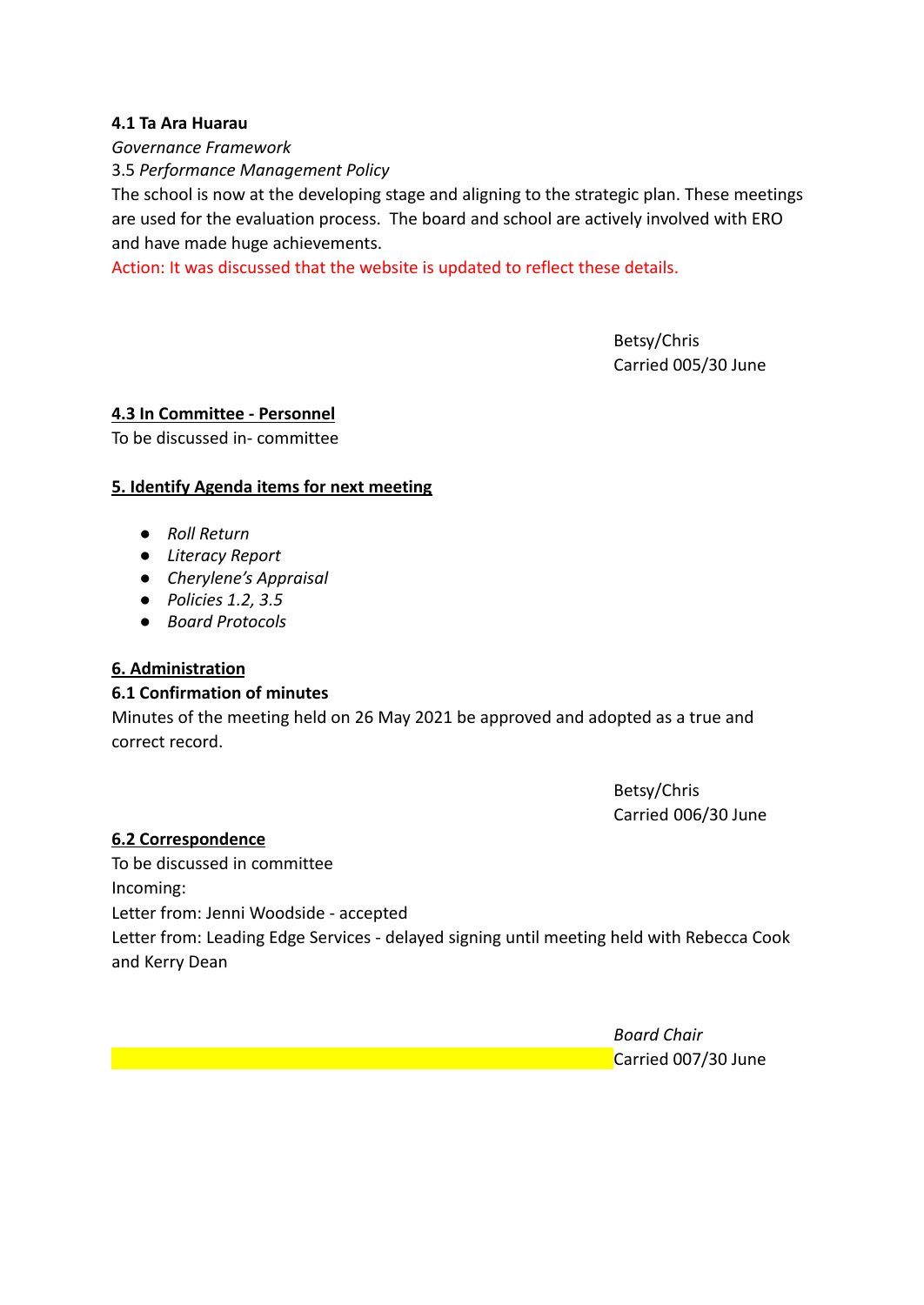### **4.1 Ta Ara Huarau**

*Governance Framework*

3.5 *Performance Management Policy*

The school is now at the developing stage and aligning to the strategic plan. These meetings are used for the evaluation process. The board and school are actively involved with ERO and have made huge achievements.

Action: It was discussed that the website is updated to reflect these details.

Betsy/Chris Carried 005/30 June

### **4.3 In Committee - Personnel**

To be discussed in- committee

## **5. Identify Agenda items for next meeting**

- *● Roll Return*
- *● Literacy Report*
- *● Cherylene's Appraisal*
- *● Policies 1.2, 3.5*
- *● Board Protocols*

# **6. Administration**

### **6.1 Confirmation of minutes**

Minutes of the meeting held on 26 May 2021 be approved and adopted as a true and correct record.

> Betsy/Chris Carried 006/30 June

### **6.2 Correspondence**

To be discussed in committee Incoming: Letter from: Jenni Woodside - accepted Letter from: Leading Edge Services - delayed signing until meeting held with Rebecca Cook and Kerry Dean

> *Board Chair* Carried 007/30 June